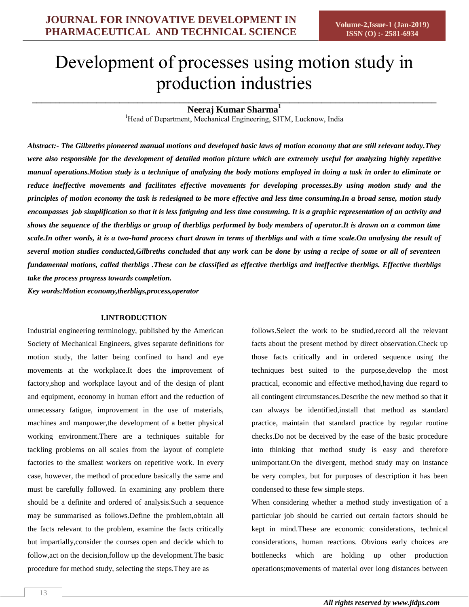# Development of processes using motion study in production industries

## **\_\_\_\_\_\_\_\_\_\_\_\_\_\_\_\_\_\_\_\_\_\_\_\_\_\_\_\_\_\_\_\_\_\_\_\_\_\_\_\_\_\_\_\_\_\_\_\_\_\_\_\_\_\_\_\_\_\_\_\_\_\_\_\_\_\_\_\_\_\_\_\_\_\_\_\_\_\_\_\_\_\_\_\_\_\_\_\_ Neeraj Kumar Sharma<sup>1</sup>**

<sup>1</sup>Head of Department, Mechanical Engineering, SITM, Lucknow, India

*Abstract:- The Gilbreths pioneered manual motions and developed basic laws of motion economy that are still relevant today.They were also responsible for the development of detailed motion picture which are extremely useful for analyzing highly repetitive manual operations.Motion study is a technique of analyzing the body motions employed in doing a task in order to eliminate or reduce ineffective movements and facilitates effective movements for developing processes.By using motion study and the principles of motion economy the task is redesigned to be more effective and less time consuming.In a broad sense, motion study encompasses job simplification so that it is less fatiguing and less time consuming. It is a graphic representation of an activity and shows the sequence of the therbligs or group of therbligs performed by body members of operator.It is drawn on a common time scale.In other words, it is a two-hand process chart drawn in terms of therbligs and with a time scale.On analysing the result of several motion studies conducted,Gilbreths concluded that any work can be done by using a recipe of some or all of seventeen fundamental motions, called therbligs .These can be classified as effective therbligs and ineffective therbligs. Effective therbligs take the process progress towards completion.*

*Key words:Motion economy,therbligs,process,operator*

#### **I.INTRODUCTION**

Industrial engineering terminology, published by the American Society of Mechanical Engineers, gives separate definitions for motion study, the latter being confined to hand and eye movements at the workplace.It does the improvement of factory,shop and workplace layout and of the design of plant and equipment, economy in human effort and the reduction of unnecessary fatigue, improvement in the use of materials, machines and manpower,the development of a better physical working environment.There are a techniques suitable for tackling problems on all scales from the layout of complete factories to the smallest workers on repetitive work. In every case, however, the method of procedure basically the same and must be carefully followed. In examining any problem there should be a definite and ordered of analysis.Such a sequence may be summarised as follows.Define the problem,obtain all the facts relevant to the problem, examine the facts critically but impartially,consider the courses open and decide which to follow,act on the decision,follow up the development.The basic procedure for method study, selecting the steps.They are as

follows.Select the work to be studied,record all the relevant facts about the present method by direct observation.Check up those facts critically and in ordered sequence using the techniques best suited to the purpose,develop the most practical, economic and effective method,having due regard to all contingent circumstances.Describe the new method so that it can always be identified,install that method as standard practice, maintain that standard practice by regular routine checks.Do not be deceived by the ease of the basic procedure into thinking that method study is easy and therefore unimportant.On the divergent, method study may on instance be very complex, but for purposes of description it has been condensed to these few simple steps.

When considering whether a method study investigation of a particular job should be carried out certain factors should be kept in mind.These are economic considerations, technical considerations, human reactions. Obvious early choices are bottlenecks which are holding up other production operations;movements of material over long distances between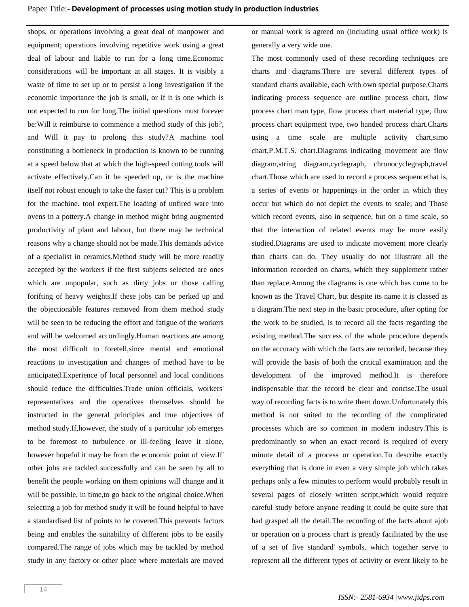shops, or operations involving a great deal of manpower and equipment; operations involving repetitive work using a great deal of labour and liable to run for a long time.Economic considerations will be important at all stages. It is visibly a waste of time to set up or to persist a long investigation if the economic importance the job is small, or if it is one which is not expected to run for long.The initial questions must forever be:Will it reimburse to commence a method study of this job?, and Will it pay to prolong this study?A machine tool constituting a bottleneck in production is known to be running at a speed below that at which the high-speed cutting tools will activate effectively.Can it be speeded up, or is the machine itself not robust enough to take the faster cut? This is a problem for the machine. tool expert.The loading of unfired ware into ovens in a pottery.A change in method might bring augmented productivity of plant and labour, but there may be technical reasons why a change should not be made.This demands advice of a specialist in ceramics.Method study will be more readily accepted by the workers if the first subjects selected are ones which are unpopular, such as dirty jobs or those calling forifting of heavy weights.If these jobs can be perked up and the objectionable features removed from them method study will be seen to be reducing the effort and fatigue of the workers and will be welcomed accordingly.Human reactions are among the most difficult to foretell,since mental and emotional reactions to investigation and changes of method have to be anticipated.Experience of local personnel and local conditions should reduce the difficulties.Trade union officials, workers' representatives and the operatives themselves should be instructed in the general principles and true objectives of method study.If,however, the study of a particular job emerges to be foremost to turbulence or ill-feeling leave it alone, however hopeful it may be from the economic point of view.If' other jobs are tackled successfully and can be seen by all to benefit the people working on them opinions will change and it will be possible, in time,to go back to the original choice.When selecting a job for method study it will be found helpful to have a standardised list of points to be covered.This prevents factors being and enables the suitability of different jobs to be easily compared.The range of jobs which may be tackled by method study in any factory or other place where materials are moved or manual work is agreed on (including usual office work) is generally a very wide one.

The most commonly used of these recording techniques are charts and diagrams.There are several different types of standard charts available, each with own special purpose.Charts indicating process sequence are outline process chart, flow process chart man type, flow process chart material type, flow process chart equipment type, two handed process chart.Charts using a time scale are multiple activity chart,simo chart,P.M.T.S. chart.Diagrams indicating movement are flow diagram,string diagram,cyclegraph, chronocyclegraph,travel chart.Those which are used to record a process sequencethat is, a series of events or happenings in the order in which they occur but which do not depict the events to scale; and Those which record events, also in sequence, but on a time scale, so that the interaction of related events may be more easily studied.Diagrams are used to indicate movement more clearly than charts can do. They usually do not illustrate all the information recorded on charts, which they supplement rather than replace.Among the diagrams is one which has come to be known as the Travel Chart, but despite its name it is classed as a diagram.The next step in the basic procedure, after opting for the work to be studied, is to record all the facts regarding the existing method.The success of the whole procedure depends on the accuracy with which the facts are recorded, because they will provide the basis of both the critical examination and the development of the improved method.It is therefore indispensable that the record be clear and concise.The usual way of recording facts is to write them down.Unfortunately this method is not suited to the recording of the complicated processes which are so common in modern industry.This is predominantly so when an exact record is required of every minute detail of a process or operation.To describe exactly everything that is done in even a very simple job which takes perhaps only a few minutes to perform would probably result in several pages of closely written script,which would require careful study before anyone reading it could be quite sure that had grasped all the detail.The recording of the facts about ajob or operation on a process chart is greatly facilitated by the use of a set of five standard' symbols, which together serve to represent all the different types of activity or event likely to be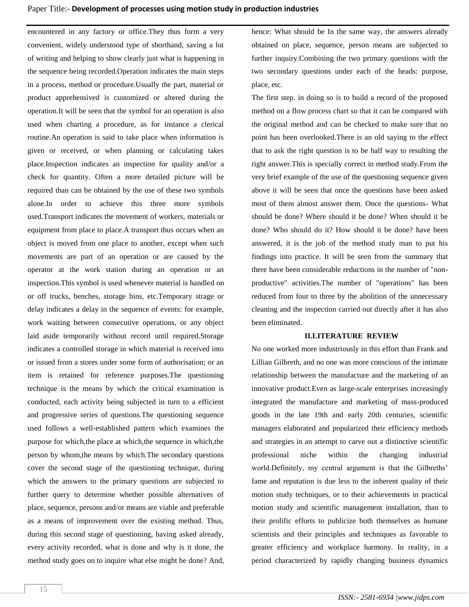encountered in any factory or office.They thus form a very convenient, widely understood type of shorthand, saving a lot of writing and helping to show clearly just what is happening in the sequence being recorded.Operation indicates the main steps in a process, method or procedure.Usually the part, material or product apprehensived is customized or altered during the operation.It will be seen that the symbol for an operation is also used when charting a procedure, as for instance a clerical routine.An operation is said to take place when information is given or received, or when planning or calculating takes place.Inspection indicates an inspection for quality and/or a check for quantity. Often a more detailed picture will be required than can be obtained by the use of these two symbols alone.In order to achieve this three more symbols used.Transport indicates the movement of workers, materials or equipment from place to place.A transport thus occurs when an object is moved from one place to another, except when such movements are part of an operation or are caused by the operator at the work station during an operation or an inspection.This symbol is used whenever material is handled on or off trucks, benches, storage bins, etc.Temporary strage or delay indicates a delay in the sequence of events: for example, work waiting between consecutive operations, or any object laid aside temporarily without record until required.Storage indicates a controlled storage in which material is received into or issued from a stores under some form of authorisation; or an item is retained for reference purposes.The questioning technique is the means by which the critical examination is conducted, each activity being subjected in turn to a efficient and progressive series of questions.The questioning sequence used follows a well-established pattern which examines the purpose for which,the place at which,the sequence in which,the person by whom,the means by which.The secondary questions cover the second stage of the questioning technique, during which the answers to the primary questions are subjected to further query to determine whether possible alternatives of place, sequence, persons and/or means are viable and preferable as a means of improvement over the existing method. Thus, during this second stage of questioning, having asked already, every activity recorded, what is done and why is it done, the method study goes on to inquire what else might be done? And, hence: What should be In the same way, the answers already obtained on place, sequence, person means are subjected to further inquiry.Combining the two primary questions with the two secondary questions under each of the heads: purpose, place, etc.

The first step. in doing so is to build a record of the proposed method on a flow process chart so that it can be compared with the original method and can be checked to make sure that no point has been overlooked.There is an old saying to the effect that to ask the right question is to be half way to resulting the right answer.This is specially correct in method study.From the very brief example of the use of the questioning sequence given above it will be seen that once the questions have been asked most of them almost answer them. Once the questions- What should be done? Where should it be done? When should it be done? Who should do it? How should it be done? have been answered, it is the job of the method study man to put his findings into practice. It will be seen from the summary that there have been considerable reductions in the number of "nonproductive" activities.The number of "operations" has been reduced from four to three by the abolition of the unnecessary cleaning and the inspection carried out directly after it has also been eliminated.

#### **II.LITERATURE REVIEW**

No one worked more industriously in this effort than Frank and Lillian Gilbreth, and no one was more conscious of the intimate relationship between the manufacture and the marketing of an innovative product.Even as large-scale enterprises increasingly integrated the manufacture and marketing of mass-produced goods in the late 19th and early 20th centuries, scientific managers elaborated and popularized their efficiency methods and strategies in an attempt to carve out a distinctive scientific professional niche within the changing industrial world.Definitely, my central argument is that the Gilbreths' fame and reputation is due less to the inherent quality of their motion study techniques, or to their achievements in practical motion study and scientific management installation, than to their prolific efforts to publicize both themselves as humane scientists and their principles and techniques as favorable to greater efficiency and workplace harmony. In reality, in a period characterized by rapidly changing business dynamics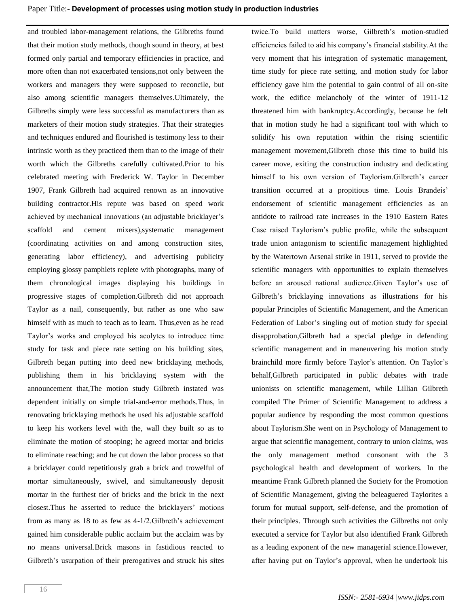and troubled labor-management relations, the Gilbreths found that their motion study methods, though sound in theory, at best formed only partial and temporary efficiencies in practice, and more often than not exacerbated tensions,not only between the workers and managers they were supposed to reconcile, but also among scientific managers themselves.Ultimately, the Gilbreths simply were less successful as manufacturers than as marketers of their motion study strategies. That their strategies and techniques endured and flourished is testimony less to their intrinsic worth as they practiced them than to the image of their worth which the Gilbreths carefully cultivated.Prior to his celebrated meeting with Frederick W. Taylor in December 1907, Frank Gilbreth had acquired renown as an innovative building contractor.His repute was based on speed work achieved by mechanical innovations (an adjustable bricklayer's scaffold and cement mixers),systematic management (coordinating activities on and among construction sites, generating labor efficiency), and advertising publicity employing glossy pamphlets replete with photographs, many of them chronological images displaying his buildings in progressive stages of completion.Gilbreth did not approach Taylor as a nail, consequently, but rather as one who saw himself with as much to teach as to learn. Thus, even as he read Taylor's works and employed his acolytes to introduce time study for task and piece rate setting on his building sites, Gilbreth began putting into deed new bricklaying methods, publishing them in his bricklaying system with the announcement that,The motion study Gilbreth instated was dependent initially on simple trial-and-error methods.Thus, in renovating bricklaying methods he used his adjustable scaffold to keep his workers level with the, wall they built so as to eliminate the motion of stooping; he agreed mortar and bricks to eliminate reaching; and he cut down the labor process so that a bricklayer could repetitiously grab a brick and trowelful of mortar simultaneously, swivel, and simultaneously deposit mortar in the furthest tier of bricks and the brick in the next closest.Thus he asserted to reduce the bricklayers' motions from as many as 18 to as few as 4-1/2.Gilbreth's achievement gained him considerable public acclaim but the acclaim was by no means universal.Brick masons in fastidious reacted to Gilbreth's usurpation of their prerogatives and struck his sites twice.To build matters worse, Gilbreth's motion-studied efficiencies failed to aid his company's financial stability.At the very moment that his integration of systematic management, time study for piece rate setting, and motion study for labor efficiency gave him the potential to gain control of all on-site work, the edifice melancholy of the winter of 1911-12 threatened him with bankruptcy.Accordingly, because he felt that in motion study he had a significant tool with which to solidify his own reputation within the rising scientific management movement,Gilbreth chose this time to build his career move, exiting the construction industry and dedicating himself to his own version of Taylorism.Gilbreth's career transition occurred at a propitious time. Louis Brandeis' endorsement of scientific management efficiencies as an antidote to railroad rate increases in the 1910 Eastern Rates Case raised Taylorism's public profile, while the subsequent trade union antagonism to scientific management highlighted by the Watertown Arsenal strike in 1911, served to provide the scientific managers with opportunities to explain themselves before an aroused national audience.Given Taylor's use of Gilbreth's bricklaying innovations as illustrations for his popular Principles of Scientific Management, and the American Federation of Labor's singling out of motion study for special disapprobation,Gilbreth had a special pledge in defending scientific management and in maneuvering his motion study brainchild more firmly before Taylor's attention. On Taylor's behalf,Gilbreth participated in public debates with trade unionists on scientific management, while Lillian Gilbreth compiled The Primer of Scientific Management to address a popular audience by responding the most common questions about Taylorism.She went on in Psychology of Management to argue that scientific management, contrary to union claims, was the only management method consonant with the 3 psychological health and development of workers. In the meantime Frank Gilbreth planned the Society for the Promotion of Scientific Management, giving the beleaguered Taylorites a forum for mutual support, self-defense, and the promotion of their principles. Through such activities the Gilbreths not only executed a service for Taylor but also identified Frank Gilbreth as a leading exponent of the new managerial science.However, after having put on Taylor's approval, when he undertook his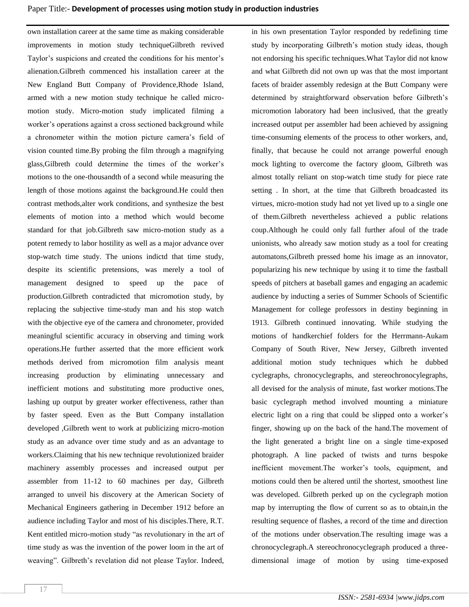own installation career at the same time as making considerable improvements in motion study techniqueGilbreth revived Taylor's suspicions and created the conditions for his mentor's alienation.Gilbreth commenced his installation career at the New England Butt Company of Providence,Rhode Island, armed with a new motion study technique he called micromotion study. Micro-motion study implicated filming a worker's operations against a cross sectioned background while a chronometer within the motion picture camera's field of vision counted time.By probing the film through a magnifying glass,Gilbreth could determine the times of the worker's motions to the one-thousandth of a second while measuring the length of those motions against the background.He could then contrast methods,alter work conditions, and synthesize the best elements of motion into a method which would become standard for that job.Gilbreth saw micro-motion study as a potent remedy to labor hostility as well as a major advance over stop-watch time study. The unions indictd that time study, despite its scientific pretensions, was merely a tool of management designed to speed up the pace of production.Gilbreth contradicted that micromotion study, by replacing the subjective time-study man and his stop watch with the objective eye of the camera and chronometer, provided meaningful scientific accuracy in observing and timing work operations.He further asserted that the more efficient work methods derived from micromotion film analysis meant increasing production by eliminating unnecessary and inefficient motions and substituting more productive ones, lashing up output by greater worker effectiveness, rather than by faster speed. Even as the Butt Company installation developed ,Gilbreth went to work at publicizing micro-motion study as an advance over time study and as an advantage to workers.Claiming that his new technique revolutionized braider machinery assembly processes and increased output per assembler from 11-12 to 60 machines per day, Gilbreth arranged to unveil his discovery at the American Society of Mechanical Engineers gathering in December 1912 before an audience including Taylor and most of his disciples.There, R.T. Kent entitled micro-motion study "as revolutionary in the art of time study as was the invention of the power loom in the art of weaving". Gilbreth's revelation did not please Taylor. Indeed,

in his own presentation Taylor responded by redefining time study by incorporating Gilbreth's motion study ideas, though not endorsing his specific techniques.What Taylor did not know and what Gilbreth did not own up was that the most important facets of braider assembly redesign at the Butt Company were determined by straightforward observation before Gilbreth's micromotion laboratory had been inclusived, that the greatly increased output per assembler had been achieved by assigning time-consuming elements of the process to other workers, and, finally, that because he could not arrange powerful enough mock lighting to overcome the factory gloom, Gilbreth was almost totally reliant on stop-watch time study for piece rate setting . In short, at the time that Gilbreth broadcasted its virtues, micro-motion study had not yet lived up to a single one of them.Gilbreth nevertheless achieved a public relations coup.Although he could only fall further afoul of the trade unionists, who already saw motion study as a tool for creating automatons,Gilbreth pressed home his image as an innovator, popularizing his new technique by using it to time the fastball speeds of pitchers at baseball games and engaging an academic audience by inducting a series of Summer Schools of Scientific Management for college professors in destiny beginning in 1913. Gilbreth continued innovating. While studying the motions of handkerchief folders for the Herrmann-Aukam Company of South River, New Jersey, Gilbreth invented additional motion study techniques which he dubbed cyclegraphs, chronocyclegraphs, and stereochronocylegraphs, all devised for the analysis of minute, fast worker motions.The basic cyclegraph method involved mounting a miniature electric light on a ring that could be slipped onto a worker's finger, showing up on the back of the hand.The movement of the light generated a bright line on a single time-exposed photograph. A line packed of twists and turns bespoke inefficient movement.The worker's tools, equipment, and motions could then be altered until the shortest, smoothest line was developed. Gilbreth perked up on the cyclegraph motion map by interrupting the flow of current so as to obtain,in the resulting sequence of flashes, a record of the time and direction of the motions under observation.The resulting image was a chronocyclegraph.A stereochronocyclegraph produced a threedimensional image of motion by using time-exposed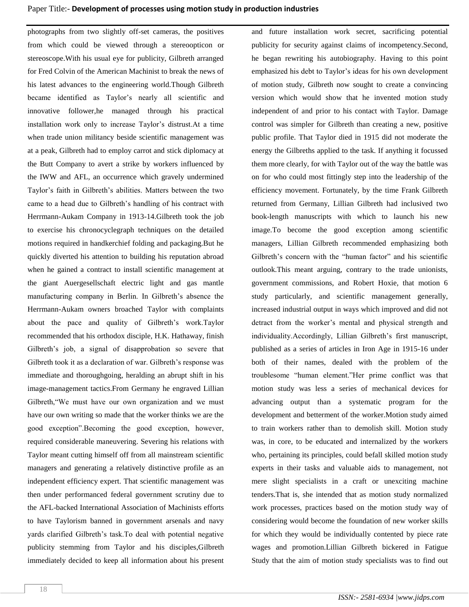photographs from two slightly off-set cameras, the positives from which could be viewed through a stereoopticon or stereoscope.With his usual eye for publicity, Gilbreth arranged for Fred Colvin of the American Machinist to break the news of his latest advances to the engineering world.Though Gilbreth became identified as Taylor's nearly all scientific and innovative follower,he managed through his practical installation work only to increase Taylor's distrust.At a time when trade union militancy beside scientific management was at a peak, Gilbreth had to employ carrot and stick diplomacy at the Butt Company to avert a strike by workers influenced by the IWW and AFL, an occurrence which gravely undermined Taylor's faith in Gilbreth's abilities. Matters between the two came to a head due to Gilbreth's handling of his contract with Herrmann-Aukam Company in 1913-14.Gilbreth took the job to exercise his chronocyclegraph techniques on the detailed motions required in handkerchief folding and packaging.But he quickly diverted his attention to building his reputation abroad when he gained a contract to install scientific management at the giant Auergesellschaft electric light and gas mantle manufacturing company in Berlin. In Gilbreth's absence the Herrmann-Aukam owners broached Taylor with complaints about the pace and quality of Gilbreth's work.Taylor recommended that his orthodox disciple, H.K. Hathaway, finish Gilbreth's job, a signal of disapprobation so severe that Gilbreth took it as a declaration of war. Gilbreth's response was immediate and thoroughgoing, heralding an abrupt shift in his image-management tactics.From Germany he engraved Lillian Gilbreth,"We must have our own organization and we must have our own writing so made that the worker thinks we are the good exception".Becoming the good exception, however, required considerable maneuvering. Severing his relations with Taylor meant cutting himself off from all mainstream scientific managers and generating a relatively distinctive profile as an independent efficiency expert. That scientific management was then under performanced federal government scrutiny due to the AFL-backed International Association of Machinists efforts to have Taylorism banned in government arsenals and navy yards clarified Gilbreth's task.To deal with potential negative publicity stemming from Taylor and his disciples,Gilbreth immediately decided to keep all information about his present

publicity for security against claims of incompetency.Second, he began rewriting his autobiography. Having to this point emphasized his debt to Taylor's ideas for his own development of motion study, Gilbreth now sought to create a convincing version which would show that he invented motion study independent of and prior to his contact with Taylor. Damage control was simpler for Gilbreth than creating a new, positive public profile. That Taylor died in 1915 did not moderate the energy the Gilbreths applied to the task. If anything it focussed them more clearly, for with Taylor out of the way the battle was on for who could most fittingly step into the leadership of the efficiency movement. Fortunately, by the time Frank Gilbreth returned from Germany, Lillian Gilbreth had inclusived two book-length manuscripts with which to launch his new image.To become the good exception among scientific managers, Lillian Gilbreth recommended emphasizing both Gilbreth's concern with the "human factor" and his scientific outlook.This meant arguing, contrary to the trade unionists, government commissions, and Robert Hoxie, that motion 6 study particularly, and scientific management generally, increased industrial output in ways which improved and did not detract from the worker's mental and physical strength and individuality.Accordingly, Lillian Gilbreth's first manuscript, published as a series of articles in Iron Age in 1915-16 under both of their names, dealed with the problem of the troublesome "human element."Her prime conflict was that motion study was less a series of mechanical devices for advancing output than a systematic program for the development and betterment of the worker.Motion study aimed to train workers rather than to demolish skill. Motion study was, in core, to be educated and internalized by the workers who, pertaining its principles, could befall skilled motion study experts in their tasks and valuable aids to management, not mere slight specialists in a craft or unexciting machine tenders.That is, she intended that as motion study normalized work processes, practices based on the motion study way of considering would become the foundation of new worker skills for which they would be individually contented by piece rate wages and promotion.Lillian Gilbreth bickered in Fatigue Study that the aim of motion study specialists was to find out

and future installation work secret, sacrificing potential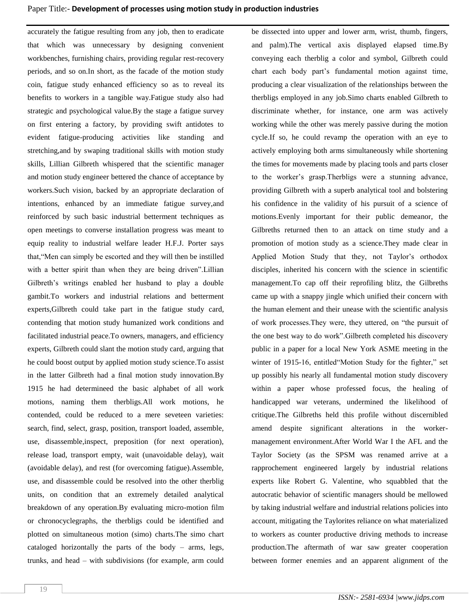accurately the fatigue resulting from any job, then to eradicate that which was unnecessary by designing convenient workbenches, furnishing chairs, providing regular rest-recovery periods, and so on.In short, as the facade of the motion study coin, fatigue study enhanced efficiency so as to reveal its benefits to workers in a tangible way.Fatigue study also had strategic and psychological value.By the stage a fatigue survey on first entering a factory, by providing swift antidotes to evident fatigue-producing activities like standing and stretching,and by swaping traditional skills with motion study skills, Lillian Gilbreth whispered that the scientific manager and motion study engineer bettered the chance of acceptance by workers.Such vision, backed by an appropriate declaration of intentions, enhanced by an immediate fatigue survey,and reinforced by such basic industrial betterment techniques as open meetings to converse installation progress was meant to equip reality to industrial welfare leader H.F.J. Porter says that,"Men can simply be escorted and they will then be instilled with a better spirit than when they are being driven". Lillian Gilbreth's writings enabled her husband to play a double gambit.To workers and industrial relations and betterment experts,Gilbreth could take part in the fatigue study card, contending that motion study humanized work conditions and facilitated industrial peace.To owners, managers, and efficiency experts, Gilbreth could slant the motion study card, arguing that he could boost output by applied motion study science.To assist in the latter Gilbreth had a final motion study innovation.By 1915 he had determineed the basic alphabet of all work motions, naming them therbligs.All work motions, he contended, could be reduced to a mere seveteen varieties: search, find, select, grasp, position, transport loaded, assemble, use, disassemble,inspect, preposition (for next operation), release load, transport empty, wait (unavoidable delay), wait (avoidable delay), and rest (for overcoming fatigue).Assemble, use, and disassemble could be resolved into the other therblig units, on condition that an extremely detailed analytical breakdown of any operation.By evaluating micro-motion film or chronocyclegraphs, the therbligs could be identified and plotted on simultaneous motion (simo) charts.The simo chart cataloged horizontally the parts of the body – arms, legs, trunks, and head – with subdivisions (for example, arm could be dissected into upper and lower arm, wrist, thumb, fingers, and palm).The vertical axis displayed elapsed time.By conveying each therblig a color and symbol, Gilbreth could chart each body part's fundamental motion against time, producing a clear visualization of the relationships between the therbligs employed in any job.Simo charts enabled Gilbreth to discriminate whether, for instance, one arm was actively working while the other was merely passive during the motion cycle.If so, he could revamp the operation with an eye to actively employing both arms simultaneously while shortening the times for movements made by placing tools and parts closer to the worker's grasp.Therbligs were a stunning advance, providing Gilbreth with a superb analytical tool and bolstering his confidence in the validity of his pursuit of a science of motions.Evenly important for their public demeanor, the Gilbreths returned then to an attack on time study and a promotion of motion study as a science.They made clear in Applied Motion Study that they, not Taylor's orthodox disciples, inherited his concern with the science in scientific management.To cap off their reprofiling blitz, the Gilbreths came up with a snappy jingle which unified their concern with the human element and their unease with the scientific analysis of work processes.They were, they uttered, on "the pursuit of the one best way to do work".Gilbreth completed his discovery public in a paper for a local New York ASME meeting in the winter of 1915-16, entitled"Motion Study for the fighter," set up possibly his nearly all fundamental motion study discovery within a paper whose professed focus, the healing of handicapped war veterans, undermined the likelihood of critique.The Gilbreths held this profile without discernibled amend despite significant alterations in the workermanagement environment.After World War I the AFL and the Taylor Society (as the SPSM was renamed arrive at a rapprochement engineered largely by industrial relations experts like Robert G. Valentine, who squabbled that the autocratic behavior of scientific managers should be mellowed by taking industrial welfare and industrial relations policies into account, mitigating the Taylorites reliance on what materialized to workers as counter productive driving methods to increase production.The aftermath of war saw greater cooperation between former enemies and an apparent alignment of the

19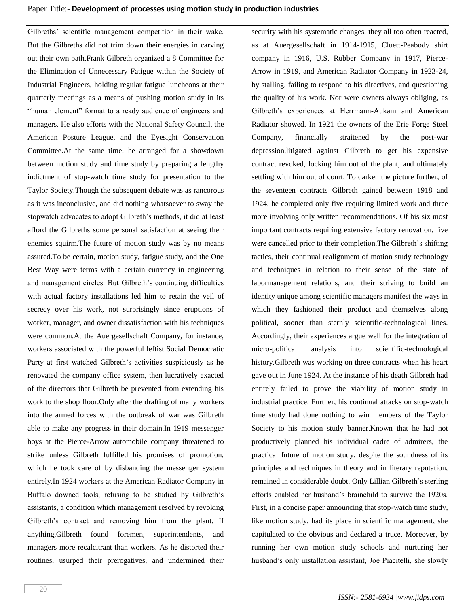Gilbreths' scientific management competition in their wake. But the Gilbreths did not trim down their energies in carving out their own path.Frank Gilbreth organized a 8 Committee for the Elimination of Unnecessary Fatigue within the Society of Industrial Engineers, holding regular fatigue luncheons at their quarterly meetings as a means of pushing motion study in its "human element" format to a ready audience of engineers and managers. He also efforts with the National Safety Council, the American Posture League, and the Eyesight Conservation Committee.At the same time, he arranged for a showdown between motion study and time study by preparing a lengthy indictment of stop-watch time study for presentation to the Taylor Society.Though the subsequent debate was as rancorous as it was inconclusive, and did nothing whatsoever to sway the stopwatch advocates to adopt Gilbreth's methods, it did at least afford the Gilbreths some personal satisfaction at seeing their enemies squirm.The future of motion study was by no means assured.To be certain, motion study, fatigue study, and the One Best Way were terms with a certain currency in engineering and management circles. But Gilbreth's continuing difficulties with actual factory installations led him to retain the veil of secrecy over his work, not surprisingly since eruptions of worker, manager, and owner dissatisfaction with his techniques were common.At the Auergesellschaft Company, for instance, workers associated with the powerful leftist Social Democratic Party at first watched Gilbreth's activities suspiciously as he renovated the company office system, then lucratively exacted of the directors that Gilbreth be prevented from extending his work to the shop floor.Only after the drafting of many workers into the armed forces with the outbreak of war was Gilbreth able to make any progress in their domain.In 1919 messenger boys at the Pierce-Arrow automobile company threatened to strike unless Gilbreth fulfilled his promises of promotion, which he took care of by disbanding the messenger system entirely.In 1924 workers at the American Radiator Company in Buffalo downed tools, refusing to be studied by Gilbreth's assistants, a condition which management resolved by revoking Gilbreth's contract and removing him from the plant. If anything,Gilbreth found foremen, superintendents, and managers more recalcitrant than workers. As he distorted their routines, usurped their prerogatives, and undermined their

company in 1916, U.S. Rubber Company in 1917, Pierce-Arrow in 1919, and American Radiator Company in 1923-24, by stalling, failing to respond to his directives, and questioning the quality of his work. Nor were owners always obliging, as Gilbreth's experiences at Herrmann-Aukam and American Radiator showed. In 1921 the owners of the Erie Forge Steel Company, financially straitened by the post-war depression,litigated against Gilbreth to get his expensive contract revoked, locking him out of the plant, and ultimately settling with him out of court. To darken the picture further, of the seventeen contracts Gilbreth gained between 1918 and 1924, he completed only five requiring limited work and three more involving only written recommendations. Of his six most important contracts requiring extensive factory renovation, five were cancelled prior to their completion.The Gilbreth's shifting tactics, their continual realignment of motion study technology and techniques in relation to their sense of the state of labormanagement relations, and their striving to build an identity unique among scientific managers manifest the ways in which they fashioned their product and themselves along political, sooner than sternly scientific-technological lines. Accordingly, their experiences argue well for the integration of micro-political analysis into scientific-technological history.Gilbreth was working on three contracts when his heart gave out in June 1924. At the instance of his death Gilbreth had entirely failed to prove the viability of motion study in industrial practice. Further, his continual attacks on stop-watch time study had done nothing to win members of the Taylor Society to his motion study banner.Known that he had not productively planned his individual cadre of admirers, the practical future of motion study, despite the soundness of its principles and techniques in theory and in literary reputation, remained in considerable doubt. Only Lillian Gilbreth's sterling efforts enabled her husband's brainchild to survive the 1920s. First, in a concise paper announcing that stop-watch time study, like motion study, had its place in scientific management, she capitulated to the obvious and declared a truce. Moreover, by running her own motion study schools and nurturing her husband's only installation assistant, Joe Piacitelli, she slowly

security with his systematic changes, they all too often reacted, as at Auergesellschaft in 1914-1915, Cluett-Peabody shirt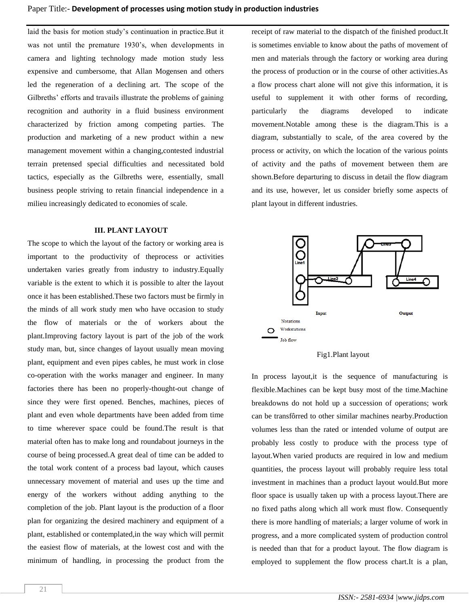laid the basis for motion study's continuation in practice.But it was not until the premature 1930's, when developments in camera and lighting technology made motion study less expensive and cumbersome, that Allan Mogensen and others led the regeneration of a declining art. The scope of the Gilbreths' efforts and travails illustrate the problems of gaining recognition and authority in a fluid business environment characterized by friction among competing parties. The production and marketing of a new product within a new management movement within a changing,contested industrial terrain pretensed special difficulties and necessitated bold tactics, especially as the Gilbreths were, essentially, small business people striving to retain financial independence in a milieu increasingly dedicated to economies of scale.

#### **III. PLANT LAYOUT**

The scope to which the layout of the factory or working area is important to the productivity of theprocess or activities undertaken varies greatly from industry to industry.Equally variable is the extent to which it is possible to alter the layout once it has been established.These two factors must be firmly in the minds of all work study men who have occasion to study the flow of materials or the of workers about the plant.Improving factory layout is part of the job of the work study man, but, since changes of layout usually mean moving plant, equipment and even pipes cables, he must work in close co-operation with the works manager and engineer. In many factories there has been no properly-thought-out change of since they were first opened. Benches, machines, pieces of plant and even whole departments have been added from time to time wherever space could be found.The result is that material often has to make long and roundabout journeys in the course of being processed.A great deal of time can be added to the total work content of a process bad layout, which causes unnecessary movement of material and uses up the time and energy of the workers without adding anything to the completion of the job. Plant layout is the production of a floor plan for organizing the desired machinery and equipment of a plant, established or contemplated,in the way which will permit the easiest flow of materials, at the lowest cost and with the minimum of handling, in processing the product from the

receipt of raw material to the dispatch of the finished product.It is sometimes enviable to know about the paths of movement of men and materials through the factory or working area during the process of production or in the course of other activities.As a flow process chart alone will not give this information, it is useful to supplement it with other forms of recording, particularly the diagrams developed to indicate movement.Notable among these is the diagram.This is a diagram, substantially to scale, of the area covered by the process or activity, on which the location of the various points of activity and the paths of movement between them are shown.Before departuring to discuss in detail the flow diagram and its use, however, let us consider briefly some aspects of plant layout in different industries.





In process layout,it is the sequence of manufacturing is flexible.Machines can be kept busy most of the time.Machine breakdowns do not hold up a succession of operations; work can be transfôrred to other similar machines nearby.Production volumes less than the rated or intended volume of output are probably less costly to produce with the process type of layout.When varied products are required in low and medium quantities, the process layout will probably require less total investment in machines than a product layout would.But more floor space is usually taken up with a process layout.There are no fixed paths along which all work must flow. Consequently there is more handling of materials; a larger volume of work in progress, and a more complicated system of production control is needed than that for a product layout. The flow diagram is employed to supplement the flow process chart.It is a plan,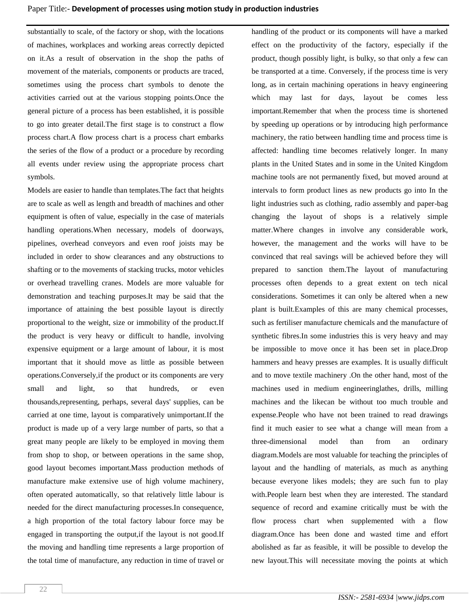substantially to scale, of the factory or shop, with the locations of machines, workplaces and working areas correctly depicted on it.As a result of observation in the shop the paths of movement of the materials, components or products are traced, sometimes using the process chart symbols to denote the activities carried out at the various stopping points.Once the general picture of a process has been established, it is possible to go into greater detail.The first stage is to construct a flow process chart.A flow process chart is a process chart embarks the series of the flow of a product or a procedure by recording all events under review using the appropriate process chart symbols.

Models are easier to handle than templates.The fact that heights are to scale as well as length and breadth of machines and other equipment is often of value, especially in the case of materials handling operations.When necessary, models of doorways, pipelines, overhead conveyors and even roof joists may be included in order to show clearances and any obstructions to shafting or to the movements of stacking trucks, motor vehicles or overhead travelling cranes. Models are more valuable for demonstration and teaching purposes.It may be said that the importance of attaining the best possible layout is directly proportional to the weight, size or immobility of the product.If the product is very heavy or difficult to handle, involving expensive equipment or a large amount of labour, it is most important that it should move as little as possible between operations.Conversely,if the product or its components are very small and light, so that hundreds, or even thousands,representing, perhaps, several days' supplies, can be carried at one time, layout is comparatively unimportant.If the product is made up of a very large number of parts, so that a great many people are likely to be employed in moving them from shop to shop, or between operations in the same shop, good layout becomes important.Mass production methods of manufacture make extensive use of high volume machinery, often operated automatically, so that relatively little labour is needed for the direct manufacturing processes.In consequence, a high proportion of the total factory labour force may be engaged in transporting the output,if the layout is not good.If the moving and handling time represents a large proportion of the total time of manufacture, any reduction in time of travel or handling of the product or its components will have a marked effect on the productivity of the factory, especially if the product, though possibly light, is bulky, so that only a few can be transported at a time. Conversely, if the process time is very long, as in certain machining operations in heavy engineering which may last for days, layout be comes less important.Remember that when the process time is shortened by speeding up operations or by introducing high performance machinery, the ratio between handling time and process time is affected: handling time becomes relatively longer. In many plants in the United States and in some in the United Kingdom machine tools are not permanently fixed, but moved around at intervals to form product lines as new products go into In the light industries such as clothing, radio assembly and paper-bag changing the layout of shops is a relatively simple matter.Where changes in involve any considerable work, however, the management and the works will have to be convinced that real savings will be achieved before they will prepared to sanction them.The layout of manufacturing processes often depends to a great extent on tech nical considerations. Sometimes it can only be altered when a new plant is built.Examples of this are many chemical processes, such as fertiliser manufacture chemicals and the manufacture of synthetic fibres.In some industries this is very heavy and may be impossible to move once it has been set in place.Drop hammers and heavy presses are examples. It is usually difficult and to move textile machinery .On the other hand, most of the machines used in medium engineeringlathes, drills, milling machines and the likecan be without too much trouble and expense.People who have not been trained to read drawings find it much easier to see what a change will mean from a three-dimensional model than from an ordinary diagram.Models are most valuable for teaching the principles of layout and the handling of materials, as much as anything because everyone likes models; they are such fun to play with.People learn best when they are interested. The standard sequence of record and examine critically must be with the flow process chart when supplemented with a flow diagram.Once has been done and wasted time and effort abolished as far as feasible, it will be possible to develop the new layout.This will necessitate moving the points at which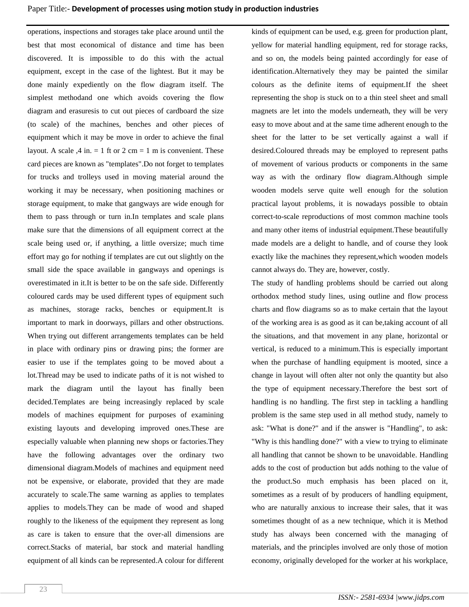## Paper Title:- **Development of processes using motion study in production industries**

operations, inspections and storages take place around until the best that most economical of distance and time has been discovered. It is impossible to do this with the actual equipment, except in the case of the lightest. But it may be done mainly expediently on the flow diagram itself. The simplest methodand one which avoids covering the flow diagram and erasuresis to cut out pieces of cardboard the size (to scale) of the machines, benches and other pieces of equipment which it may be move in order to achieve the final layout. A scale  $,4$  in. = 1 ft or 2 cm = 1 m is convenient. These card pieces are known as "templates".Do not forget to templates for trucks and trolleys used in moving material around the working it may be necessary, when positioning machines or storage equipment, to make that gangways are wide enough for them to pass through or turn in.In templates and scale plans make sure that the dimensions of all equipment correct at the scale being used or, if anything, a little oversize; much time effort may go for nothing if templates are cut out slightly on the small side the space available in gangways and openings is overestimated in it.It is better to be on the safe side. Differently coloured cards may be used different types of equipment such as machines, storage racks, benches or equipment.It is important to mark in doorways, pillars and other obstructions. When trying out different arrangements templates can be held in place with ordinary pins or drawing pins; the former are easier to use if the templates going to be moved about a lot.Thread may be used to indicate paths of it is not wished to mark the diagram until the layout has finally been decided.Templates are being increasingly replaced by scale models of machines equipment for purposes of examining existing layouts and developing improved ones.These are especially valuable when planning new shops or factories.They have the following advantages over the ordinary two dimensional diagram.Models of machines and equipment need not be expensive, or elaborate, provided that they are made accurately to scale.The same warning as applies to templates applies to models.They can be made of wood and shaped roughly to the likeness of the equipment they represent as long as care is taken to ensure that the over-all dimensions are correct.Stacks of material, bar stock and material handling equipment of all kinds can be represented.A colour for different kinds of equipment can be used, e.g. green for production plant, yellow for material handling equipment, red for storage racks, and so on, the models being painted accordingly for ease of identification.Alternatively they may be painted the similar colours as the definite items of equipment.If the sheet representing the shop is stuck on to a thin steel sheet and small magnets are let into the models underneath, they will be very easy to move about and at the same time adherent enough to the sheet for the latter to be set vertically against a wall if desired.Coloured threads may be employed to represent paths of movement of various products or components in the same way as with the ordinary flow diagram.Although simple wooden models serve quite well enough for the solution practical layout problems, it is nowadays possible to obtain correct-to-scale reproductions of most common machine tools and many other items of industrial equipment.These beautifully made models are a delight to handle, and of course they look exactly like the machines they represent,which wooden models cannot always do. They are, however, costly.

The study of handling problems should be carried out along orthodox method study lines, using outline and flow process charts and flow diagrams so as to make certain that the layout of the working area is as good as it can be,taking account of all the situations, and that movement in any plane, horizontal or vertical, is reduced to a minimum.This is especially important when the purchase of handling equipment is mooted, since a change in layout will often alter not only the quantity but also the type of equipment necessary.Therefore the best sort of handling is no handling. The first step in tackling a handling problem is the same step used in all method study, namely to ask: "What is done?" and if the answer is "Handling", to ask: "Why is this handling done?" with a view to trying to eliminate all handling that cannot be shown to be unavoidable. Handling adds to the cost of production but adds nothing to the value of the product.So much emphasis has been placed on it, sometimes as a result of by producers of handling equipment, who are naturally anxious to increase their sales, that it was sometimes thought of as a new technique, which it is Method study has always been concerned with the managing of materials, and the principles involved are only those of motion economy, originally developed for the worker at his workplace,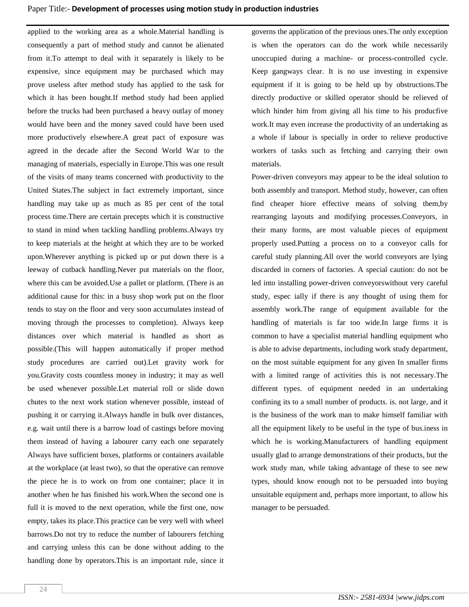applied to the working area as a whole.Material handling is consequently a part of method study and cannot be alienated from it.To attempt to deal with it separately is likely to be expensive, since equipment may be purchased which may prove useless after method study has applied to the task for which it has been bought.If method study had been applied before the trucks had been purchased a heavy outlay of money would have been and the money saved could have been used more productively elsewhere.A great pact of exposure was agreed in the decade after the Second World War to the managing of materials, especially in Europe.This was one result of the visits of many teams concerned with productivity to the United States.The subject in fact extremely important, since handling may take up as much as 85 per cent of the total process time.There are certain precepts which it is constructive to stand in mind when tackling handling problems.Always try to keep materials at the height at which they are to be worked upon.Wherever anything is picked up or put down there is a leeway of cutback handling.Never put materials on the floor, where this can be avoided.Use a pallet or platform. (There is an additional cause for this: in a busy shop work put on the floor tends to stay on the floor and very soon accumulates instead of moving through the processes to completion). Always keep distances over which material is handled as short as possible.(This will happen automatically if proper method study procedures are carried out).Let gravity work for you.Gravity costs countless money in industry; it may as well be used whenever possible.Let material roll or slide down chutes to the next work station whenever possible, instead of pushing it or carrying it.Always handle in bulk over distances, e.g. wait until there is a barrow load of castings before moving them instead of having a labourer carry each one separately Always have sufficient boxes, platforms or containers available at the workplace (at least two), so that the operative can remove the piece he is to work on from one container; place it in another when he has finished his work.When the second one is full it is moved to the next operation, while the first one, now empty, takes its place.This practice can be very well with wheel barrows.Do not try to reduce the number of labourers fetching and carrying unless this can be done without adding to the handling done by operators.This is an important rule, since it governs the application of the previous ones.The only exception is when the operators can do the work while necessarily unoccupied during a machine- or process-controlled cycle. Keep gangways clear. It is no use investing in expensive equipment if it is going to be held up by obstructions.The directly productive or skilled operator should be relieved of which hinder him from giving all his time to his producfive work.It may even increase the productivity of an undertaking as a whole if labour is specially in order to relieve productive workers of tasks such as fetching and carrying their own materials.

Power-driven conveyors may appear to be the ideal solution to both assembly and transport. Method study, however, can often find cheaper hiore effective means of solving them,by rearranging layouts and modifying processes.Conveyors, in their many forms, are most valuable pieces of equipment properly used.Putting a process on to a conveyor calls for careful study planning.All over the world conveyors are lying discarded in corners of factories. A special caution: do not be led into installing power-driven conveyorswithout very careful study, espec ially if there is any thought of using them for assembly work.The range of equipment available for the handling of materials is far too wide.In large firms it is common to have a specialist material handling equipment who is able to advise departments, including work study department, on the most suitable equipment for any given In smaller firms with a limited range of activities this is not necessary.The different types. of equipment needed in an undertaking confining its to a small number of products. is. not large, and it is the business of the work man to make himself familiar with all the equipment likely to be useful in the type of bus.iness in which he is working.Manufacturers of handling equipment usually glad to arrange demonstrations of their products, but the work study man, while taking advantage of these to see new types, should know enough not to be persuaded into buying unsuitable equipment and, perhaps more important, to allow his manager to be persuaded.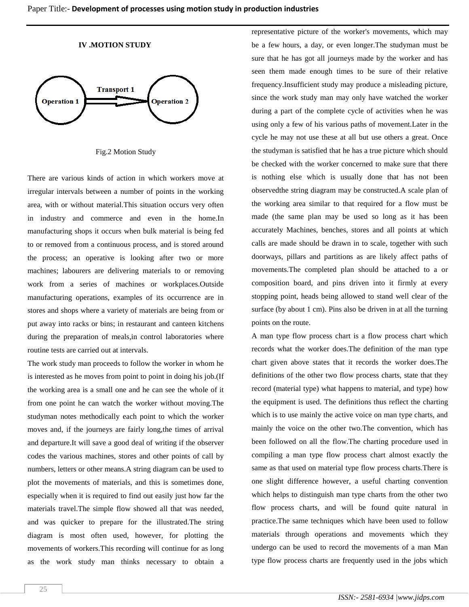#### **IV .MOTION STUDY**



Fig.2 Motion Study

There are various kinds of action in which workers move at irregular intervals between a number of points in the working area, with or without material.This situation occurs very often in industry and commerce and even in the home.In manufacturing shops it occurs when bulk material is being fed to or removed from a continuous process, and is stored around the process; an operative is looking after two or more machines; labourers are delivering materials to or removing work from a series of machines or workplaces.Outside manufacturing operations, examples of its occurrence are in stores and shops where a variety of materials are being from or put away into racks or bins; in restaurant and canteen kitchens during the preparation of meals,in control laboratories where routine tests are carried out at intervals.

The work study man proceeds to follow the worker in whom he is interested as he moves from point to point in doing his job.(If the working area is a small one and he can see the whole of it from one point he can watch the worker without moving.The studyman notes methodically each point to which the worker moves and, if the journeys are fairly long,the times of arrival and departure.It will save a good deal of writing if the observer codes the various machines, stores and other points of call by numbers, letters or other means.A string diagram can be used to plot the movements of materials, and this is sometimes done, especially when it is required to find out easily just how far the materials travel.The simple flow showed all that was needed, and was quicker to prepare for the illustrated.The string diagram is most often used, however, for plotting the movements of workers.This recording will continue for as long as the work study man thinks necessary to obtain a representative picture of the worker's movements, which may be a few hours, a day, or even longer.The studyman must be sure that he has got all journeys made by the worker and has seen them made enough times to be sure of their relative frequency.Insufficient study may produce a misleading picture, since the work study man may only have watched the worker during a part of the complete cycle of activities when he was using only a few of his various paths of movement.Later in the cycle he may not use these at all but use others a great. Once the studyman is satisfied that he has a true picture which should be checked with the worker concerned to make sure that there is nothing else which is usually done that has not been observedthe string diagram may be constructed.A scale plan of the working area similar to that required for a flow must be made (the same plan may be used so long as it has been accurately Machines, benches, stores and all points at which calls are made should be drawn in to scale, together with such doorways, pillars and partitions as are likely affect paths of movements.The completed plan should be attached to a or composition board, and pins driven into it firmly at every stopping point, heads being allowed to stand well clear of the surface (by about 1 cm). Pins also be driven in at all the turning points on the route.

A man type flow process chart is a flow process chart which records what the worker does.The definition of the man type chart given above states that it records the worker does.The definitions of the other two flow process charts, state that they record (material type) what happens to material, and type) how the equipment is used. The definitions thus reflect the charting which is to use mainly the active voice on man type charts, and mainly the voice on the other two.The convention, which has been followed on all the flow.The charting procedure used in compiling a man type flow process chart almost exactly the same as that used on material type flow process charts.There is one slight difference however, a useful charting convention which helps to distinguish man type charts from the other two flow process charts, and will be found quite natural in practice.The same techniques which have been used to follow materials through operations and movements which they undergo can be used to record the movements of a man Man type flow process charts are frequently used in the jobs which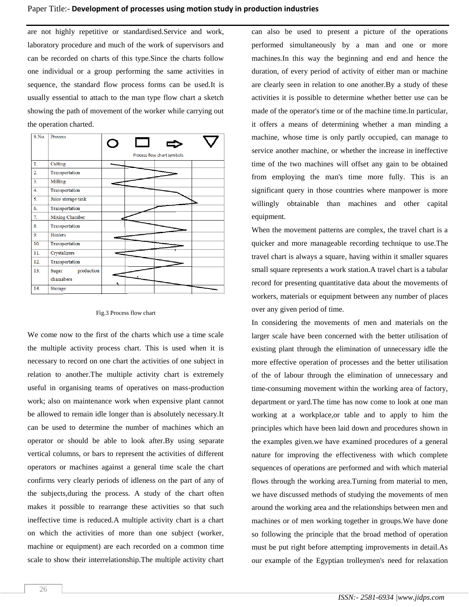are not highly repetitive or standardised.Service and work, laboratory procedure and much of the work of supervisors and can be recorded on charts of this type.Since the charts follow one individual or a group performing the same activities in sequence, the standard flow process forms can be used.It is usually essential to attach to the man type flow chart a sketch showing the path of movement of the worker while carrying out the operation charted.

| S.No.          | Process             |                            |
|----------------|---------------------|----------------------------|
|                |                     | Process flow chart symbols |
| $\mathbf{1}$ . | Cutting             |                            |
| 2.             | Transportation      |                            |
| 3 <sub>1</sub> | Milling             |                            |
| 4.             | Transportation      |                            |
| 5.             | Juice storage tank  |                            |
| 6.             | Transportation      |                            |
| 7.             | Mixing Chamber      |                            |
| 8.             | Transportation      |                            |
| 9.             | Heaters             |                            |
| 10.            | Transportation      |                            |
| 11.            | Crystalizers        |                            |
| 12.            | Transportation      |                            |
| 13.            | production<br>Sugar |                            |
|                | chamabers           |                            |
| 14.            | Storage             |                            |

#### Fig.3 Process flow chart

We come now to the first of the charts which use a time scale the multiple activity process chart. This is used when it is necessary to record on one chart the activities of one subject in relation to another.The multiple activity chart is extremely useful in organising teams of operatives on mass-production work; also on maintenance work when expensive plant cannot be allowed to remain idle longer than is absolutely necessary.It can be used to determine the number of machines which an operator or should be able to look after.By using separate vertical columns, or bars to represent the activities of different operators or machines against a general time scale the chart confirms very clearly periods of idleness on the part of any of the subjects,during the process. A study of the chart often makes it possible to rearrange these activities so that such ineffective time is reduced.A multiple activity chart is a chart on which the activities of more than one subject (worker, machine or equipment) are each recorded on a common time scale to show their interrelationship.The multiple activity chart can also be used to present a picture of the operations performed simultaneously by a man and one or more machines.In this way the beginning and end and hence the duration, of every period of activity of either man or machine are clearly seen in relation to one another.By a study of these activities it is possible to determine whether better use can be made of the operator's time or of the machine time.In particular, it offers a means of determining whether a man minding a machine, whose time is only partly occupied, can manage to service another machine, or whether the increase in ineffective time of the two machines will offset any gain to be obtained from employing the man's time more fully. This is an significant query in those countries where manpower is more willingly obtainable than machines and other capital equipment.

When the movement patterns are complex, the travel chart is a quicker and more manageable recording technique to use.The travel chart is always a square, having within it smaller squares small square represents a work station.A travel chart is a tabular record for presenting quantitative data about the movements of workers, materials or equipment between any number of places over any given period of time.

In considering the movements of men and materials on the larger scale have been concerned with the better utilisation of existing plant through the elimination of unnecessary idle the more effective operation of processes and the better utilisation of the of labour through the elimination of unnecessary and time-consuming movement within the working area of factory, department or yard.The time has now come to look at one man working at a workplace,or table and to apply to him the principles which have been laid down and procedures shown in the examples given.we have examined procedures of a general nature for improving the effectiveness with which complete sequences of operations are performed and with which material flows through the working area.Turning from material to men, we have discussed methods of studying the movements of men around the working area and the relationships between men and machines or of men working together in groups.We have done so following the principle that the broad method of operation must be put right before attempting improvements in detail.As our example of the Egyptian trolleymen's need for relaxation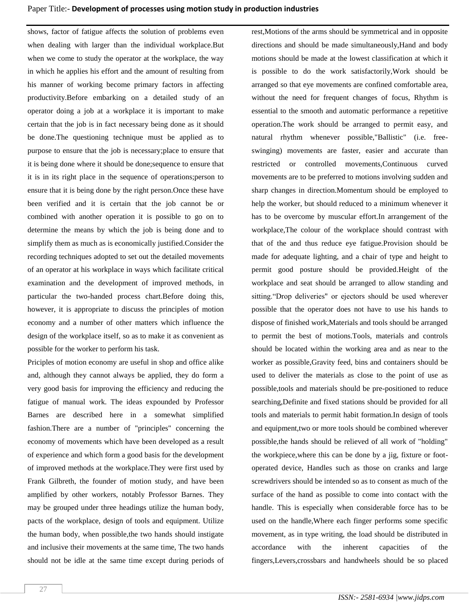shows, factor of fatigue affects the solution of problems even when dealing with larger than the individual workplace.But when we come to study the operator at the workplace, the way in which he applies his effort and the amount of resulting from his manner of working become primary factors in affecting productivity.Before embarking on a detailed study of an operator doing a job at a workplace it is important to make certain that the job is in fact necessary being done as it should be done.The questioning technique must be applied as to purpose to ensure that the job is necessary;place to ensure that it is being done where it should be done;sequence to ensure that it is in its right place in the sequence of operations;person to ensure that it is being done by the right person.Once these have been verified and it is certain that the job cannot be or combined with another operation it is possible to go on to determine the means by which the job is being done and to simplify them as much as is economically justified.Consider the recording techniques adopted to set out the detailed movements of an operator at his workplace in ways which facilitate critical examination and the development of improved methods, in particular the two-handed process chart.Before doing this, however, it is appropriate to discuss the principles of motion economy and a number of other matters which influence the design of the workplace itself, so as to make it as convenient as possible for the worker to perform his task.

Priciples of motion economy are useful in shop and office alike and, although they cannot always be applied, they do form a very good basis for improving the efficiency and reducing the fatigue of manual work. The ideas expounded by Professor Barnes are described here in a somewhat simplified fashion.There are a number of "principles" concerning the economy of movements which have been developed as a result of experience and which form a good basis for the development of improved methods at the workplace.They were first used by Frank Gilbreth, the founder of motion study, and have been amplified by other workers, notably Professor Barnes. They may be grouped under three headings utilize the human body, pacts of the workplace, design of tools and equipment. Utilize the human body, when possible,the two hands should instigate and inclusive their movements at the same time, The two hands should not be idle at the same time except during periods of rest,Motions of the arms should be symmetrical and in opposite directions and should be made simultaneously,Hand and body motions should be made at the lowest classification at which it is possible to do the work satisfactorily,Work should be arranged so that eye movements are confined comfortable area, without the need for frequent changes of focus, Rhythm is essential to the smooth and automatic performance a repetitive operation.The work should be arranged to permit easy, and natural rhythm whenever possible,"Ballistic" (i.e. freeswinging) movements are faster, easier and accurate than restricted or controlled movements,Continuous curved movements are to be preferred to motions involving sudden and sharp changes in direction.Momentum should be employed to help the worker, but should reduced to a minimum whenever it has to be overcome by muscular effort.In arrangement of the workplace,The colour of the workplace should contrast with that of the and thus reduce eye fatigue.Provision should be made for adequate lighting, and a chair of type and height to permit good posture should be provided.Height of the workplace and seat should be arranged to allow standing and sitting."Drop deliveries" or ejectors should be used wherever possible that the operator does not have to use his hands to dispose of finished work,Materials and tools should be arranged to permit the best of motions.Tools, materials and controls should be located within the working area and as near to the worker as possible,Gravity feed, bins and containers should be used to deliver the materials as close to the point of use as possible,tools and materials should be pre-positioned to reduce searching,Definite and fixed stations should be provided for all tools and materials to permit habit formation.In design of tools and equipment,two or more tools should be combined wherever possible,the hands should be relieved of all work of "holding" the workpiece,where this can be done by a jig, fixture or footoperated device, Handles such as those on cranks and large screwdrivers should be intended so as to consent as much of the surface of the hand as possible to come into contact with the handle. This is especially when considerable force has to be used on the handle,Where each finger performs some specific movement, as in type writing, the load should be distributed in accordance with the inherent capacities of the fingers,Levers,crossbars and handwheels should be so placed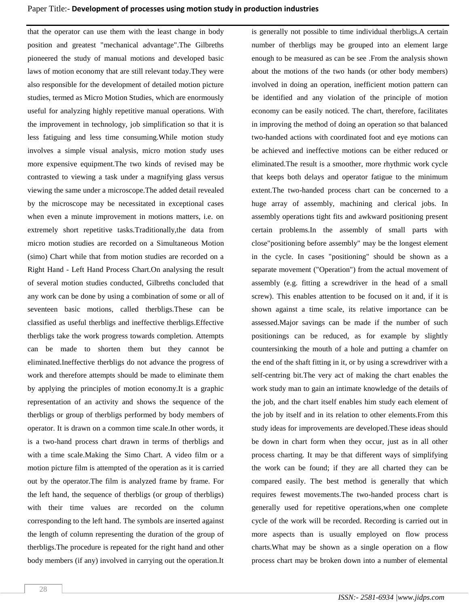that the operator can use them with the least change in body position and greatest "mechanical advantage".The Gilbreths pioneered the study of manual motions and developed basic laws of motion economy that are still relevant today.They were also responsible for the development of detailed motion picture studies, termed as Micro Motion Studies, which are enormously useful for analyzing highly repetitive manual operations. With the improvement in technology, job simplification so that it is less fatiguing and less time consuming.While motion study involves a simple visual analysis, micro motion study uses more expensive equipment.The two kinds of revised may be contrasted to viewing a task under a magnifying glass versus viewing the same under a microscope.The added detail revealed by the microscope may be necessitated in exceptional cases when even a minute improvement in motions matters, i.e. on extremely short repetitive tasks.Traditionally,the data from micro motion studies are recorded on a Simultaneous Motion (simo) Chart while that from motion studies are recorded on a Right Hand - Left Hand Process Chart.On analysing the result of several motion studies conducted, Gilbreths concluded that any work can be done by using a combination of some or all of seventeen basic motions, called therbligs.These can be classified as useful therbligs and ineffective therbligs.Effective therbligs take the work progress towards completion. Attempts can be made to shorten them but they cannot be eliminated.Ineffective therbligs do not advance the progress of work and therefore attempts should be made to eliminate them by applying the principles of motion economy.It is a graphic representation of an activity and shows the sequence of the therbligs or group of therbligs performed by body members of operator. It is drawn on a common time scale.In other words, it is a two-hand process chart drawn in terms of therbligs and with a time scale.Making the Simo Chart. A video film or a motion picture film is attempted of the operation as it is carried out by the operator.The film is analyzed frame by frame. For the left hand, the sequence of therbligs (or group of therbligs) with their time values are recorded on the column corresponding to the left hand. The symbols are inserted against the length of column representing the duration of the group of therbligs.The procedure is repeated for the right hand and other body members (if any) involved in carrying out the operation.It

number of therbligs may be grouped into an element large enough to be measured as can be see .From the analysis shown about the motions of the two hands (or other body members) involved in doing an operation, inefficient motion pattern can be identified and any violation of the principle of motion economy can be easily noticed. The chart, therefore, facilitates in improving the method of doing an operation so that balanced two-handed actions with coordinated foot and eye motions can be achieved and ineffective motions can be either reduced or eliminated.The result is a smoother, more rhythmic work cycle that keeps both delays and operator fatigue to the minimum extent.The two-handed process chart can be concerned to a huge array of assembly, machining and clerical jobs. In assembly operations tight fits and awkward positioning present certain problems.In the assembly of small parts with close"positioning before assembly" may be the longest element in the cycle. In cases "positioning" should be shown as a separate movement ("Operation") from the actual movement of assembly (e.g. fitting a screwdriver in the head of a small screw). This enables attention to be focused on it and, if it is shown against a time scale, its relative importance can be assessed.Major savings can be made if the number of such positionings can be reduced, as for example by slightly countersinking the mouth of a hole and putting a chamfer on the end of the shaft fitting in it, or by using a screwdriver with a self-centring bit.The very act of making the chart enables the work study man to gain an intimate knowledge of the details of the job, and the chart itself enables him study each element of the job by itself and in its relation to other elements.From this study ideas for improvements are developed.These ideas should be down in chart form when they occur, just as in all other process charting. It may be that different ways of simplifying the work can be found; if they are all charted they can be compared easily. The best method is generally that which requires fewest movements.The two-handed process chart is generally used for repetitive operations,when one complete cycle of the work will be recorded. Recording is carried out in more aspects than is usually employed on flow process charts.What may be shown as a single operation on a flow process chart may be broken down into a number of elemental

is generally not possible to time individual therbligs.A certain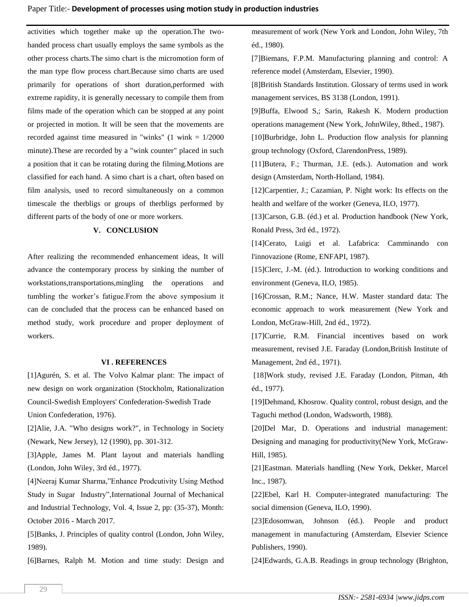activities which together make up the operation.The twohanded process chart usually employs the same symbols as the other process charts.The simo chart is the micromotion form of the man type flow process chart.Because simo charts are used primarily for operations of short duration,performed with extreme rapidity, it is generally necessary to compile them from films made of the operation which can be stopped at any point or projected in motion. It will be seen that the movements are recorded against time measured in "winks"  $(1 \text{ wink} = 1/2000$ minute).These are recorded by a "wink counter" placed in such a position that it can be rotating during the filming.Motions are classified for each hand. A simo chart is a chart, often based on film analysis, used to record simultaneously on a common timescale the therbligs or groups of therbligs performed by different parts of the body of one or more workers.

### **V. CONCLUSION**

After realizing the recommended enhancement ideas, It will advance the contemporary process by sinking the number of workstations,transportations,mingling the operations and tumbling the worker's fatigue.From the above symposium it can de concluded that the process can be enhanced based on method study, work procedure and proper deployment of workers.

#### **VI . REFERENCES**

[1]Agurén, S. et al. The Volvo Kalmar plant: The impact of new design on work organization (Stockholm, Rationalization Council-Swedish Employers' Confederation-Swedish Trade Union Confederation, 1976).

[2]Alie, J.A. "Who designs work?", in Technology in Society (Newark, New Jersey), 12 (1990), pp. 301-312.

[3]Apple, James M. Plant layout and materials handling (London, John Wiley, 3rd éd., 1977).

[4]Neeraj Kumar Sharma,"Enhance Prodcutivity Using Method Study in Sugar Industry",International Journal of Mechanical and Industrial Technology, Vol. 4, Issue 2, pp: (35-37), Month: October 2016 - March 2017.

[5]Banks, J. Principles of quality control (London, John Wiley, 1989).

[6]Barnes, Ralph M. Motion and time study: Design and

measurement of work (New York and London, John Wiley, 7th éd., 1980).

[7]Biemans, F.P.M. Manufacturing planning and control: A reference model (Amsterdam, Elsevier, 1990).

[8]British Standards Institution. Glossary of terms used in work management services, BS 3138 (London, 1991).

[9]Buffa, Elwood S,; Sarin, Rakesh K. Modern production operations management (New York, JohnWiley, 8thed., 1987).

[10]Burbridge, John L. Production flow analysis for planning group technology (Oxford, ClarendonPress, 1989).

[11]Butera, F.; Thurman, J.E. (eds.). Automation and work design (Amsterdam, North-Holland, 1984).

[12]Carpentier, J.; Cazamian, P. Night work: Its effects on the health and welfare of the worker (Geneva, ILO, 1977).

[13]Carson, G.B. (éd.) et al. Production handbook (New York, Ronald Press, 3rd éd., 1972).

[14]Cerato, Luigi et al. Lafabrica: Camminando con l'innovazione (Rome, ENFAPI, 1987).

[15]Clerc, J.-M. (éd.). Introduction to working conditions and environment (Geneva, ILO, 1985).

[16]Crossan, R.M.; Nance, H.W. Master standard data: The economic approach to work measurement (New York and London, McGraw-Hill, 2nd éd., 1972).

[17]Currie, R.M. Financial incentives based on work measurement, revised J.E. Faraday (London,British Institute of Management, 2nd éd., 1971).

[18]Work study, revised J.E. Faraday (London, Pitman, 4th éd., 1977).

[19]Dehmand, Khosrow. Quality control, robust design, and the Taguchi method (London, Wadsworth, 1988).

[20]Del Mar, D. Operations and industrial management: Designing and managing for productivity(New York, McGraw-Hill, 1985).

[21]Eastman. Materials handling (New York, Dekker, Marcel Inc., 1987).

[22]Ebel, Karl H. Computer-integrated manufacturing: The social dimension (Geneva, ILO, 1990).

[23]Edosomwan, Johnson (éd.). People and product management in manufacturing (Amsterdam, Elsevier Science Publishers, 1990).

[24]Edwards, G.A.B. Readings in group technology (Brighton,